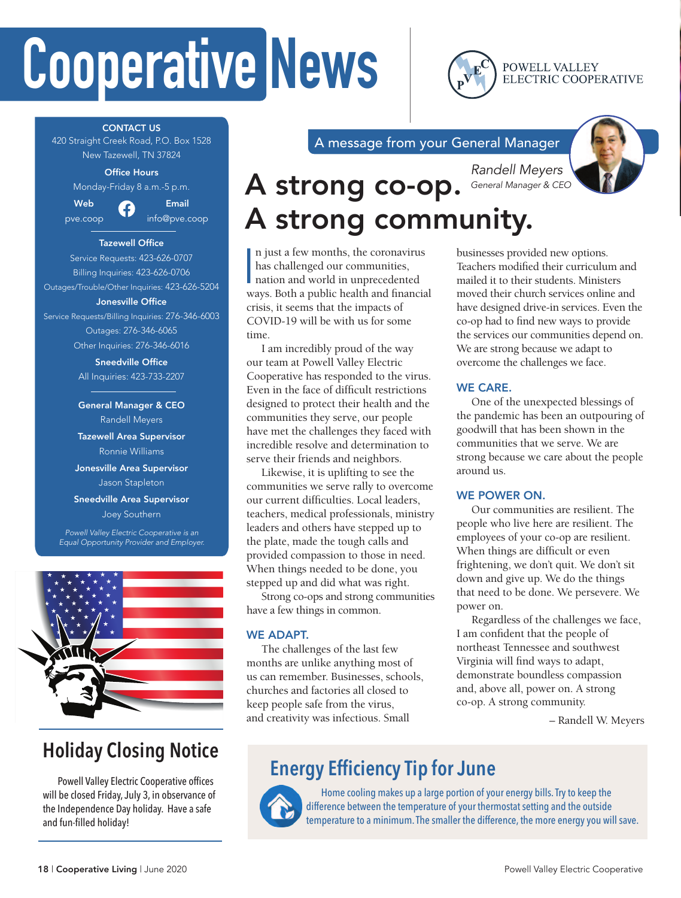# **Cooperative News**

POWELL VALLEY ELECTRIC COOPERATIVE

CONTACT US 420 Straight Creek Road, P.O. Box 1528

New Tazewell, TN 37824

#### Office Hours

Monday-Friday 8 a.m.-5 p.m.



Web 2 Email pve.coop info@pve.coop

#### Tazewell Office

Service Requests: 423-626-0707 Billing Inquiries: 423-626-0706 Outages/Trouble/Other Inquiries: 423-626-5204 Jonesville Office Service Requests/Billing Inquiries: 276-346-6003 Outages: 276-346-6065

Other Inquiries: 276-346-6016

Sneedville Office All Inquiries: 423-733-2207

General Manager & CEO Randell Meyers

Tazewell Area Supervisor Ronnie Williams

Jonesville Area Supervisor Jason Stapleton

Sneedville Area Supervisor Joey Southern

*Powell Valley Electric Cooperative is an Equal Opportunity Provider and Employer.*



### **Holiday Closing Notice**

Powell Valley Electric Cooperative offices will be closed Friday, July 3, in observance of the Independence Day holiday. Have a safe and fun-filled holiday!

A message from your General Manager



### *Randell Meyers General Manager & CEO* A strong co-op. A strong community.

In just a few months, the coronavirus<br>has challenged our communities,<br>nation and world in unprecedented<br>ways. Both a public health and financial n just a few months, the coronavirus has challenged our communities, nation and world in unprecedented crisis, it seems that the impacts of COVID-19 will be with us for some time.

I am incredibly proud of the way our team at Powell Valley Electric Cooperative has responded to the virus. Even in the face of difficult restrictions designed to protect their health and the communities they serve, our people have met the challenges they faced with incredible resolve and determination to serve their friends and neighbors.

Likewise, it is uplifting to see the communities we serve rally to overcome our current difficulties. Local leaders, teachers, medical professionals, ministry leaders and others have stepped up to the plate, made the tough calls and provided compassion to those in need. When things needed to be done, you stepped up and did what was right.

Strong co-ops and strong communities have a few things in common.

#### WE ADAPT.

The challenges of the last few months are unlike anything most of us can remember. Businesses, schools, churches and factories all closed to keep people safe from the virus, and creativity was infectious. Small

businesses provided new options. Teachers modified their curriculum and mailed it to their students. Ministers moved their church services online and have designed drive-in services. Even the co-op had to find new ways to provide the services our communities depend on. We are strong because we adapt to overcome the challenges we face.

#### WE CARE.

One of the unexpected blessings of the pandemic has been an outpouring of goodwill that has been shown in the communities that we serve. We are strong because we care about the people around us.

#### WE POWER ON.

Our communities are resilient. The people who live here are resilient. The employees of your co-op are resilient. When things are difficult or even frightening, we don't quit. We don't sit down and give up. We do the things that need to be done. We persevere. We power on.

Regardless of the challenges we face, I am confident that the people of northeast Tennessee and southwest Virginia will find ways to adapt, demonstrate boundless compassion and, above all, power on. A strong co-op. A strong community.

– Randell W. Meyers

### **Energy Efficiency Tip for June**



Home cooling makes up a large portion of your energy bills. Try to keep the difference between the temperature of your thermostat setting and the outside temperature to a minimum. The smaller the difference, the more energy you will save.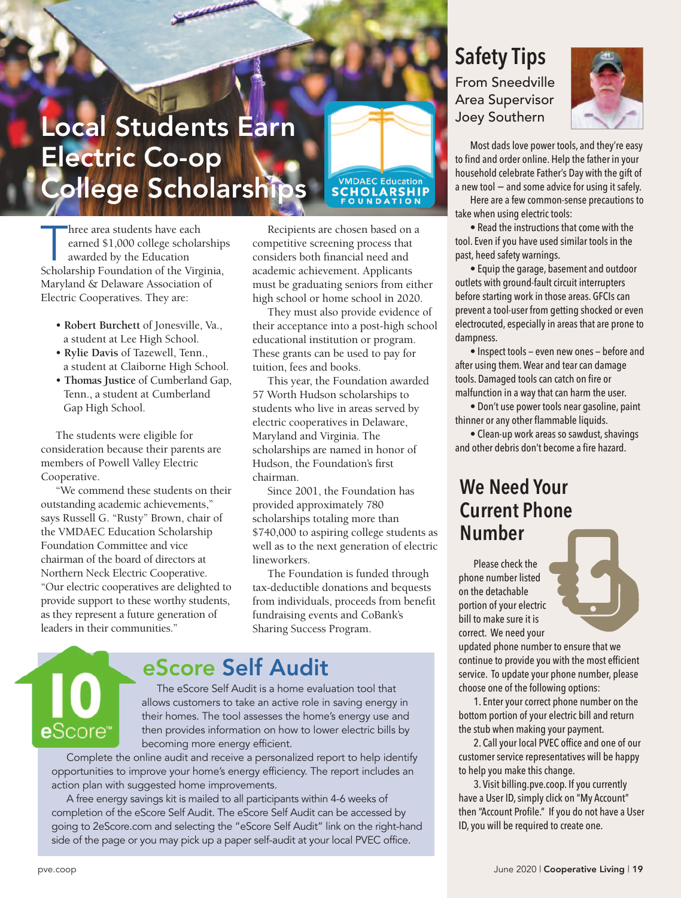### Local Students Earn Electric Co-op College Scholarships

hree area students have each<br>
earned \$1,000 college scholarship<br>
awarded by the Education<br>
Scholarship Foundation of the Virginia, earned \$1,000 college scholarships awarded by the Education Maryland & Delaware Association of Electric Cooperatives. They are:

- **Robert Burchett** of Jonesville, Va., a student at Lee High School.
- **Rylie Davis** of Tazewell, Tenn., a student at Claiborne High School.
- **Thomas Justice** of Cumberland Gap, Tenn., a student at Cumberland Gap High School.

The students were eligible for consideration because their parents are members of Powell Valley Electric Cooperative.

"We commend these students on their outstanding academic achievements," says Russell G. "Rusty" Brown, chair of the VMDAEC Education Scholarship Foundation Committee and vice chairman of the board of directors at Northern Neck Electric Cooperative. "Our electric cooperatives are delighted to provide support to these worthy students, as they represent a future generation of leaders in their communities."

Recipients are chosen based on a competitive screening process that considers both financial need and academic achievement. Applicants must be graduating seniors from either high school or home school in 2020.

**VMDAEC Education** 

They must also provide evidence of their acceptance into a post-high school educational institution or program. These grants can be used to pay for tuition, fees and books.

This year, the Foundation awarded 57 Worth Hudson scholarships to students who live in areas served by electric cooperatives in Delaware, Maryland and Virginia. The scholarships are named in honor of Hudson, the Foundation's first chairman.

Since 2001, the Foundation has provided approximately 780 scholarships totaling more than \$740,000 to aspiring college students as well as to the next generation of electric lineworkers.

The Foundation is funded through tax-deductible donations and bequests from individuals, proceeds from benefit fundraising events and CoBank's Sharing Success Program.



### eScore Self Audit

The eScore Self Audit is a home evaluation tool that allows customers to take an active role in saving energy in their homes. The tool assesses the home's energy use and then provides information on how to lower electric bills by becoming more energy efficient.

Complete the online audit and receive a personalized report to help identify opportunities to improve your home's energy efficiency. The report includes an action plan with suggested home improvements.

A free energy savings kit is mailed to all participants within 4-6 weeks of completion of the eScore Self Audit. The eScore Self Audit can be accessed by going to 2eScore.com and selecting the "eScore Self Audit" link on the right-hand side of the page or you may pick up a paper self-audit at your local PVEC office.

### **Safety Tips**

From Sneedville Area Supervisor Joey Southern



Most dads love power tools, and they're easy to find and order online. Help the father in your household celebrate Father's Day with the gift of a new tool − and some advice for using it safely.

Here are a few common-sense precautions to take when using electric tools:

• Read the instructions that come with the tool. Even if you have used similar tools in the past, heed safety warnings.

• Equip the garage, basement and outdoor outlets with ground-fault circuit interrupters before starting work in those areas. GFCIs can prevent a tool-user from getting shocked or even electrocuted, especially in areas that are prone to dampness.

• Inspect tools — even new ones — before and after using them. Wear and tear can damage tools. Damaged tools can catch on fire or malfunction in a way that can harm the user.

• Don't use power tools near gasoline, paint thinner or any other flammable liquids.

• Clean-up work areas so sawdust, shavings and other debris don't become a fire hazard.

### **We Need Your Current Phone Number**

Please check the phone number listed on the detachable portion of your electric bill to make sure it is correct. We need your



updated phone number to ensure that we continue to provide you with the most efficient service. To update your phone number, please choose one of the following options:

1. Enter your correct phone number on the bottom portion of your electric bill and return the stub when making your payment.

2. Call your local PVEC office and one of our customer service representatives will be happy to help you make this change.

3. Visit billing.pve.coop. If you currently have a User ID, simply click on "My Account" then "Account Profile." If you do not have a User ID, you will be required to create one.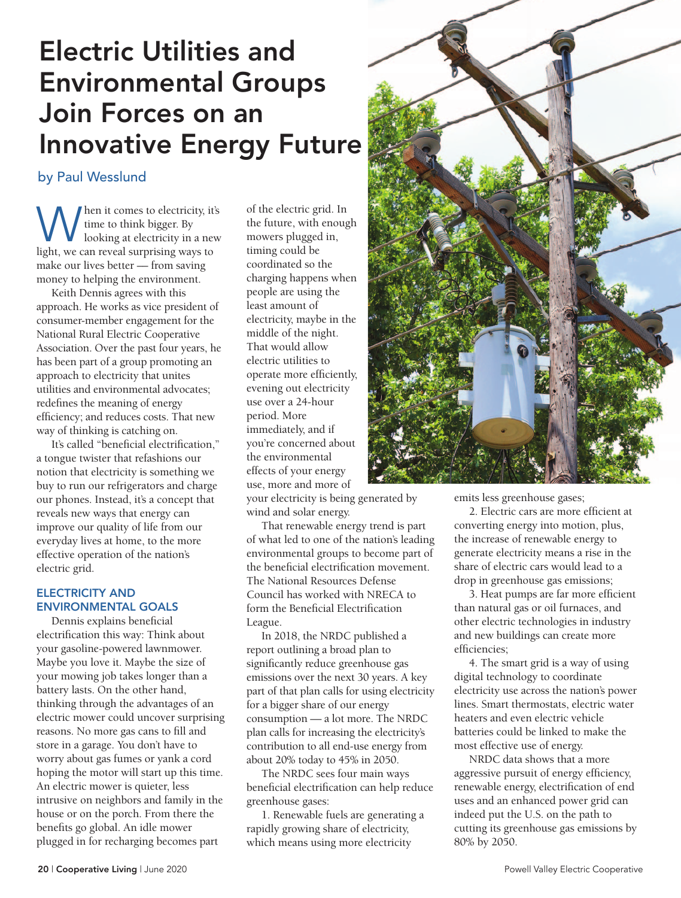### Electric Utilities and Environmental Groups Join Forces on an Innovative Energy Future

by Paul Wesslund

When it comes to electricity, it's<br>light, we can reveal surprising ways to<br>light, we can reveal surprising ways to time to think bigger. By looking at electricity in a new make our lives better — from saving money to helping the environment.

Keith Dennis agrees with this approach. He works as vice president of consumer-member engagement for the National Rural Electric Cooperative Association. Over the past four years, he has been part of a group promoting an approach to electricity that unites utilities and environmental advocates; redefines the meaning of energy efficiency; and reduces costs. That new way of thinking is catching on.

It's called "beneficial electrification," a tongue twister that refashions our notion that electricity is something we buy to run our refrigerators and charge our phones. Instead, it's a concept that reveals new ways that energy can improve our quality of life from our everyday lives at home, to the more effective operation of the nation's electric grid.

#### ELECTRICITY AND ENVIRONMENTAL GOALS

Dennis explains beneficial electrification this way: Think about your gasoline-powered lawnmower. Maybe you love it. Maybe the size of your mowing job takes longer than a battery lasts. On the other hand, thinking through the advantages of an electric mower could uncover surprising reasons. No more gas cans to fill and store in a garage. You don't have to worry about gas fumes or yank a cord hoping the motor will start up this time. An electric mower is quieter, less intrusive on neighbors and family in the house or on the porch. From there the benefits go global. An idle mower plugged in for recharging becomes part

of the electric grid. In the future, with enough mowers plugged in, timing could be coordinated so the charging happens when people are using the least amount of electricity, maybe in the middle of the night. That would allow electric utilities to operate more efficiently, evening out electricity use over a 24-hour period. More immediately, and if you're concerned about the environmental effects of your energy use, more and more of

your electricity is being generated by wind and solar energy.

That renewable energy trend is part of what led to one of the nation's leading environmental groups to become part of the beneficial electrification movement. The National Resources Defense Council has worked with NRECA to form the Beneficial Electrification League.

In 2018, the NRDC published a report outlining a broad plan to significantly reduce greenhouse gas emissions over the next 30 years. A key part of that plan calls for using electricity for a bigger share of our energy consumption — a lot more. The NRDC plan calls for increasing the electricity's contribution to all end-use energy from about 20% today to 45% in 2050.

The NRDC sees four main ways beneficial electrification can help reduce greenhouse gases:

1. Renewable fuels are generating a rapidly growing share of electricity, which means using more electricity



emits less greenhouse gases;

2. Electric cars are more efficient at converting energy into motion, plus, the increase of renewable energy to generate electricity means a rise in the share of electric cars would lead to a drop in greenhouse gas emissions;

3. Heat pumps are far more efficient than natural gas or oil furnaces, and other electric technologies in industry and new buildings can create more efficiencies;

4. The smart grid is a way of using digital technology to coordinate electricity use across the nation's power lines. Smart thermostats, electric water heaters and even electric vehicle batteries could be linked to make the most effective use of energy.

NRDC data shows that a more aggressive pursuit of energy efficiency, renewable energy, electrification of end uses and an enhanced power grid can indeed put the U.S. on the path to cutting its greenhouse gas emissions by 80% by 2050.